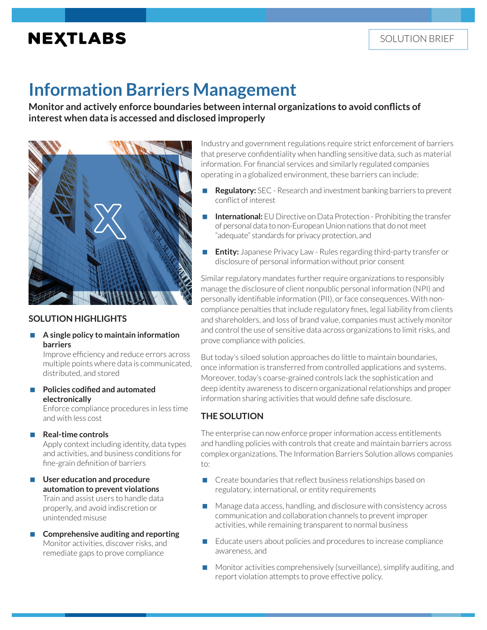# **NEXTLABS**

# **Information Barriers Management**

**Monitor and actively enforce boundaries between internal organizations to avoid conflicts of interest when data is accessed and disclosed improperly** 



## **SOLUTION HIGHLIGHTS**

#### **A single policy to maintain information barriers**

Improve efficiency and reduce errors across multiple points where data is communicated, distributed, and stored

 **Policies codified and automated electronically**

> Enforce compliance procedures in less time and with less cost

**Real-time controls**

Apply context including identity, data types and activities, and business conditions for fine-grain definition of barriers

- **User education and procedure automation to prevent violations** Train and assist users to handle data properly, and avoid indiscretion or unintended misuse
- **Comprehensive auditing and reporting** Monitor activities, discover risks, and remediate gaps to prove compliance

Industry and government regulations require strict enforcement of barriers that preserve confidentiality when handling sensitive data, such as material information. For financial services and similarly regulated companies operating in a globalized environment, these barriers can include:

- **Regulatory:** SEC Research and investment banking barriers to prevent conflict of interest
- **International:** EU Directive on Data Protection Prohibiting the transfer of personal data to non-European Union nations that do not meet "adequate" standards for privacy protection, and
- **Entity:** Japanese Privacy Law Rules regarding third-party transfer or disclosure of personal information without prior consent

Similar regulatory mandates further require organizations to responsibly manage the disclosure of client nonpublic personal information (NPI) and personally identifiable information (PII), or face consequences. With noncompliance penalties that include regulatory fines, legal liability from clients and shareholders, and loss of brand value, companies must actively monitor and control the use of sensitive data across organizations to limit risks, and prove compliance with policies.

But today's siloed solution approaches do little to maintain boundaries, once information is transferred from controlled applications and systems. Moreover, today's coarse-grained controls lack the sophistication and deep identity awareness to discern organizational relationships and proper information sharing activities that would define safe disclosure.

## **THE SOLUTION**

The enterprise can now enforce proper information access entitlements and handling policies with controls that create and maintain barriers across complex organizations. The Information Barriers Solution allows companies to:

- Create boundaries that reflect business relationships based on regulatory, international, or entity requirements
- Manage data access, handling, and disclosure with consistency across communication and collaboration channels to prevent improper activities, while remaining transparent to normal business
- $\blacksquare$  Educate users about policies and procedures to increase compliance awareness, and
- Monitor activities comprehensively (surveillance), simplify auditing, and report violation attempts to prove effective policy.